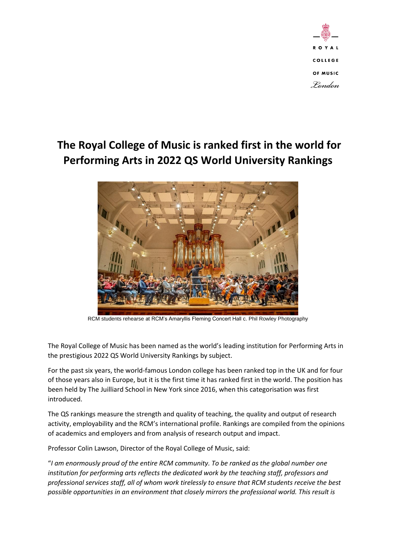

## **The Royal College of Music is ranked first in the world for Performing Arts in 2022 QS World University Rankings**



RCM students rehearse at RCM's Amaryllis Fleming Concert Hall c. Phil Rowley Photography

The Royal College of Music has been named as the world's leading institution for Performing Arts in the prestigious 2022 QS World University Rankings by subject.

For the past six years, the world-famous London college has been ranked top in the UK and for four of those years also in Europe, but it is the first time it has ranked first in the world. The position has been held by The Juilliard School in New York since 2016, when this categorisation was first introduced.

The QS rankings measure the strength and quality of teaching, the quality and output of research activity, employability and the RCM's international profile. Rankings are compiled from the opinions of academics and employers and from analysis of research output and impact.

Professor Colin Lawson, Director of the Royal College of Music, said:

"*I am enormously proud of the entire RCM community. To be ranked as the global number one institution for performing arts reflects the dedicated work by the teaching staff, professors and professional services staff, all of whom work tirelessly to ensure that RCM students receive the best possible opportunities in an environment that closely mirrors the professional world. This result is*